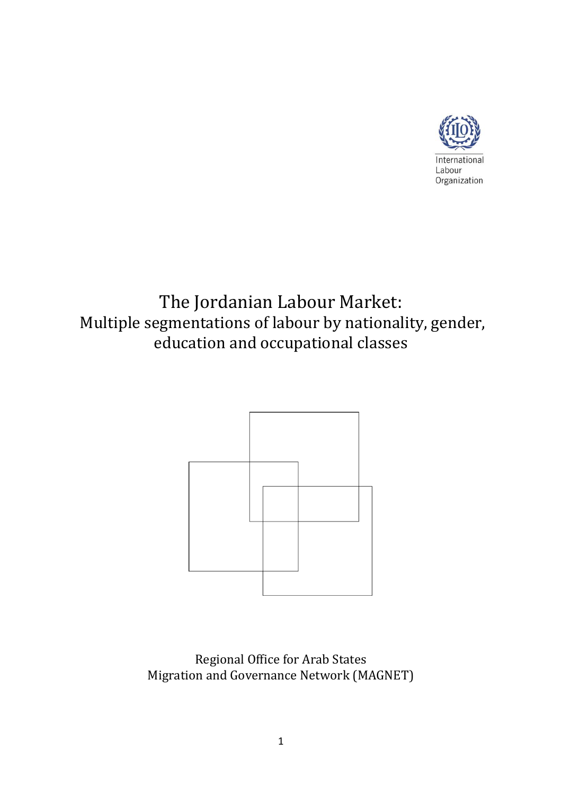

# The Jordanian Labour Market: Multiple segmentations of labour by nationality, gender, education and occupational classes



Regional Office for Arab States Migration and Governance Network (MAGNET)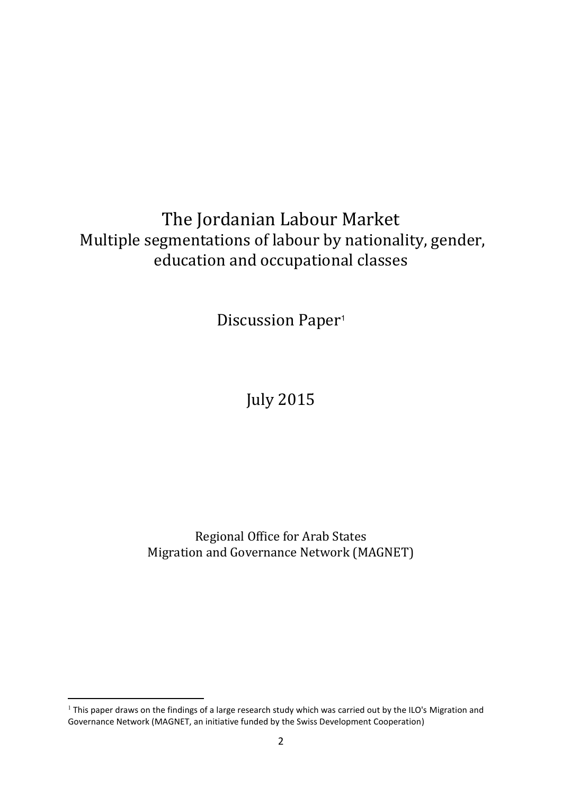## The Jordanian Labour Market Multiple segmentations of labour by nationality, gender, education and occupational classes

Discussion Paper<sup>1</sup>

## July 2015

Regional Office for Arab States Migration and Governance Network (MAGNET)

<sup>&</sup>lt;sup>1</sup> This paper draws on the findings of a large research study which was carried out by the ILO's Migration and Governance Network (MAGNET, an initiative funded by the Swiss Development Cooperation)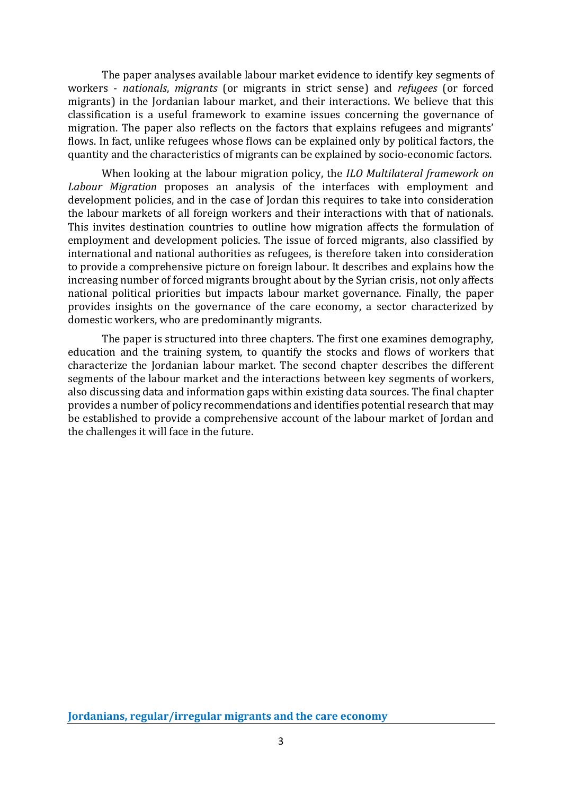The paper analyses available labour market evidence to identify key segments of workers - *nationals*, *migrants* (or migrants in strict sense) and *refugees* (or forced migrants) in the Jordanian labour market, and their interactions. We believe that this classification is a useful framework to examine issues concerning the governance of migration. The paper also reflects on the factors that explains refugees and migrants' flows. In fact, unlike refugees whose flows can be explained only by political factors, the quantity and the characteristics of migrants can be explained by socio-economic factors.

When looking at the labour migration policy, the *ILO Multilateral framework on Labour Migration* proposes an analysis of the interfaces with employment and development policies, and in the case of Jordan this requires to take into consideration the labour markets of all foreign workers and their interactions with that of nationals. This invites destination countries to outline how migration affects the formulation of employment and development policies. The issue of forced migrants, also classified by international and national authorities as refugees, is therefore taken into consideration to provide a comprehensive picture on foreign labour. It describes and explains how the increasing number of forced migrants brought about by the Syrian crisis, not only affects national political priorities but impacts labour market governance. Finally, the paper provides insights on the governance of the care economy, a sector characterized by domestic workers, who are predominantly migrants.

The paper is structured into three chapters. The first one examines demography, education and the training system, to quantify the stocks and flows of workers that characterize the Jordanian labour market. The second chapter describes the different segments of the labour market and the interactions between key segments of workers, also discussing data and information gaps within existing data sources. The final chapter provides a number of policy recommendations and identifies potential research that may be established to provide a comprehensive account of the labour market of Jordan and the challenges it will face in the future.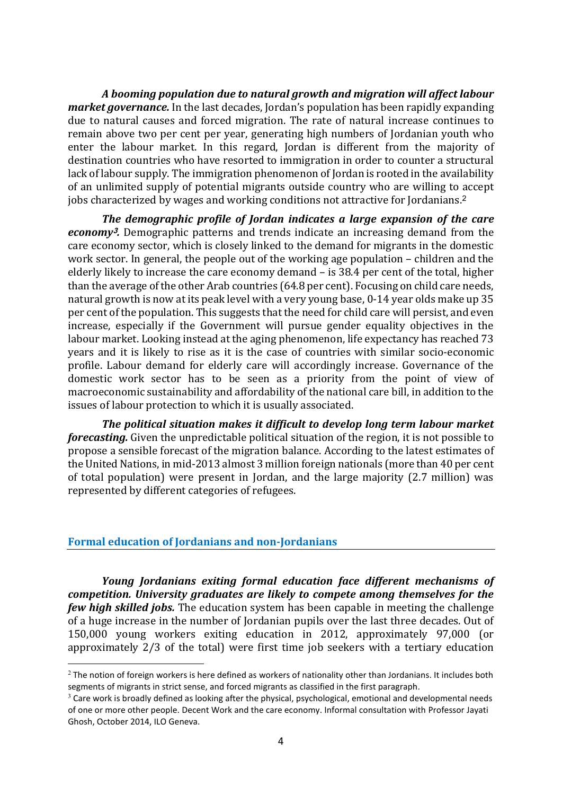*A booming population due to natural growth and migration will affect labour market governance.* In the last decades, Jordan's population has been rapidly expanding due to natural causes and forced migration. The rate of natural increase continues to remain above two per cent per year, generating high numbers of Jordanian youth who enter the labour market. In this regard, Jordan is different from the majority of destination countries who have resorted to immigration in order to counter a structural lack of labour supply. The immigration phenomenon of Jordan is rooted in the availability of an unlimited supply of potential migrants outside country who are willing to accept jobs characterized by wages and working conditions not attractive for Jordanians. 2

*The demographic profile of Jordan indicates a large expansion of the care economy***3***.* Demographic patterns and trends indicate an increasing demand from the care economy sector, which is closely linked to the demand for migrants in the domestic work sector. In general, the people out of the working age population – children and the elderly likely to increase the care economy demand – is 38.4 per cent of the total, higher than the average of the other Arab countries (64.8 per cent). Focusing on child care needs, natural growth is now at its peak level with a very young base, 0-14 year olds make up 35 per cent of the population. This suggests that the need for child care will persist, and even increase, especially if the Government will pursue gender equality objectives in the labour market. Looking instead at the aging phenomenon, life expectancy has reached 73 years and it is likely to rise as it is the case of countries with similar socio-economic profile. Labour demand for elderly care will accordingly increase. Governance of the domestic work sector has to be seen as a priority from the point of view of macroeconomic sustainability and affordability of the national care bill, in addition to the issues of labour protection to which it is usually associated.

*The political situation makes it difficult to develop long term labour market forecasting.* Given the unpredictable political situation of the region, it is not possible to propose a sensible forecast of the migration balance. According to the latest estimates of the United Nations, in mid-2013 almost 3 million foreign nationals (more than 40 per cent of total population) were present in Jordan, and the large majority (2.7 million) was represented by different categories of refugees.

#### **Formal education of Jordanians and non-Jordanians**

-

*Young Jordanians exiting formal education face different mechanisms of competition. University graduates are likely to compete among themselves for the few high skilled jobs.* The education system has been capable in meeting the challenge of a huge increase in the number of Jordanian pupils over the last three decades. Out of 150,000 young workers exiting education in 2012, approximately 97,000 (or approximately 2/3 of the total) were first time job seekers with a tertiary education

 $2$  The notion of foreign workers is here defined as workers of nationality other than Jordanians. It includes both segments of migrants in strict sense, and forced migrants as classified in the first paragraph.

<sup>&</sup>lt;sup>3</sup> Care work is broadly defined as looking after the physical, psychological, emotional and developmental needs of one or more other people. Decent Work and the care economy. Informal consultation with Professor Jayati Ghosh, October 2014, ILO Geneva.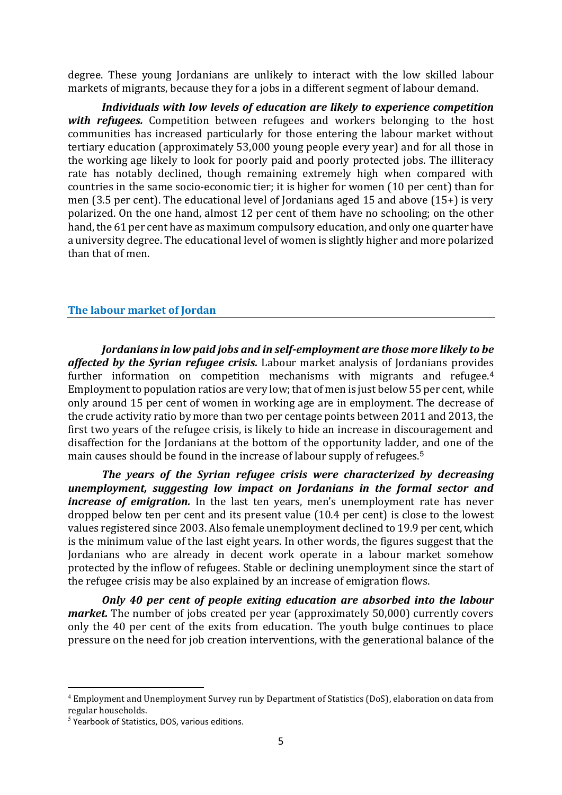degree. These young Jordanians are unlikely to interact with the low skilled labour markets of migrants, because they for a jobs in a different segment of labour demand.

*Individuals with low levels of education are likely to experience competition with refugees.* Competition between refugees and workers belonging to the host communities has increased particularly for those entering the labour market without tertiary education (approximately 53,000 young people every year) and for all those in the working age likely to look for poorly paid and poorly protected jobs. The illiteracy rate has notably declined, though remaining extremely high when compared with countries in the same socio-economic tier; it is higher for women (10 per cent) than for men (3.5 per cent). The educational level of Jordanians aged 15 and above (15+) is very polarized. On the one hand, almost 12 per cent of them have no schooling; on the other hand, the 61 per cent have as maximum compulsory education, and only one quarter have a university degree. The educational level of women is slightly higher and more polarized than that of men.

### **The labour market of Jordan**

*Jordanians in low paid jobs and in self-employment are those more likely to be affected by the Syrian refugee crisis.* Labour market analysis of Jordanians provides further information on competition mechanisms with migrants and refugee.<sup>4</sup> Employment to population ratios are very low; that of men is just below 55 per cent, while only around 15 per cent of women in working age are in employment. The decrease of the crude activity ratio by more than two per centage points between 2011 and 2013, the first two years of the refugee crisis, is likely to hide an increase in discouragement and disaffection for the Jordanians at the bottom of the opportunity ladder, and one of the main causes should be found in the increase of labour supply of refugees.<sup>5</sup>

*The years of the Syrian refugee crisis were characterized by decreasing unemployment, suggesting low impact on Jordanians in the formal sector and increase of emigration.* In the last ten years, men's unemployment rate has never dropped below ten per cent and its present value (10.4 per cent) is close to the lowest values registered since 2003. Also female unemployment declined to 19.9 per cent, which is the minimum value of the last eight years. In other words, the figures suggest that the Jordanians who are already in decent work operate in a labour market somehow protected by the inflow of refugees. Stable or declining unemployment since the start of the refugee crisis may be also explained by an increase of emigration flows.

*Only 40 per cent of people exiting education are absorbed into the labour market*. The number of jobs created per year (approximately 50,000) currently covers only the 40 per cent of the exits from education. The youth bulge continues to place pressure on the need for job creation interventions, with the generational balance of the

<sup>4</sup> Employment and Unemployment Survey run by Department of Statistics (DoS), elaboration on data from regular households.

<sup>5</sup> Yearbook of Statistics, DOS, various editions.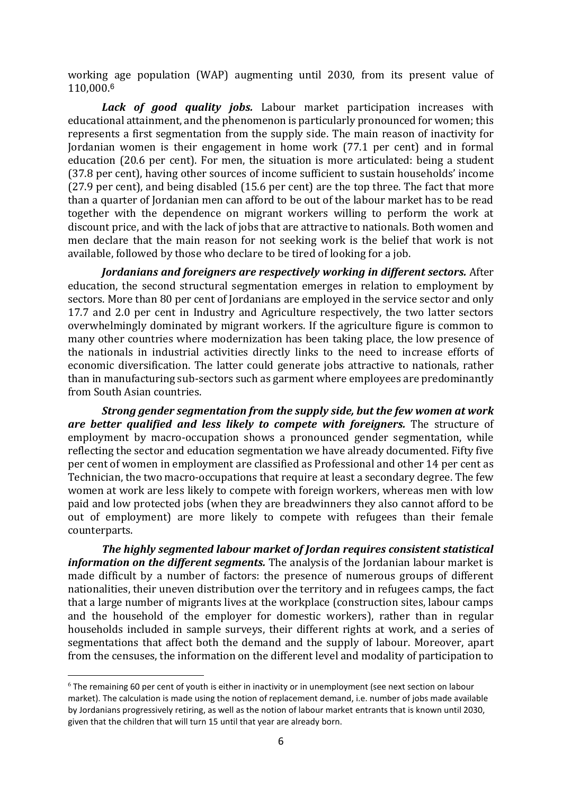working age population (WAP) augmenting until 2030, from its present value of 110,000.<sup>6</sup>

*Lack of good quality jobs.* Labour market participation increases with educational attainment, and the phenomenon is particularly pronounced for women; this represents a first segmentation from the supply side. The main reason of inactivity for Jordanian women is their engagement in home work (77.1 per cent) and in formal education (20.6 per cent). For men, the situation is more articulated: being a student (37.8 per cent), having other sources of income sufficient to sustain households' income (27.9 per cent), and being disabled (15.6 per cent) are the top three. The fact that more than a quarter of Jordanian men can afford to be out of the labour market has to be read together with the dependence on migrant workers willing to perform the work at discount price, and with the lack of jobs that are attractive to nationals. Both women and men declare that the main reason for not seeking work is the belief that work is not available, followed by those who declare to be tired of looking for a job.

*Jordanians and foreigners are respectively working in different sectors.* After education, the second structural segmentation emerges in relation to employment by sectors. More than 80 per cent of Jordanians are employed in the service sector and only 17.7 and 2.0 per cent in Industry and Agriculture respectively, the two latter sectors overwhelmingly dominated by migrant workers. If the agriculture figure is common to many other countries where modernization has been taking place, the low presence of the nationals in industrial activities directly links to the need to increase efforts of economic diversification. The latter could generate jobs attractive to nationals, rather than in manufacturing sub-sectors such as garment where employees are predominantly from South Asian countries.

*Strong gender segmentation from the supply side, but the few women at work are better qualified and less likely to compete with foreigners.* The structure of employment by macro-occupation shows a pronounced gender segmentation, while reflecting the sector and education segmentation we have already documented. Fifty five per cent of women in employment are classified as Professional and other 14 per cent as Technician, the two macro-occupations that require at least a secondary degree. The few women at work are less likely to compete with foreign workers, whereas men with low paid and low protected jobs (when they are breadwinners they also cannot afford to be out of employment) are more likely to compete with refugees than their female counterparts.

*The highly segmented labour market of Jordan requires consistent statistical information on the different segments*. The analysis of the Jordanian labour market is made difficult by a number of factors: the presence of numerous groups of different nationalities, their uneven distribution over the territory and in refugees camps, the fact that a large number of migrants lives at the workplace (construction sites, labour camps and the household of the employer for domestic workers), rather than in regular households included in sample surveys, their different rights at work, and a series of segmentations that affect both the demand and the supply of labour. Moreover, apart from the censuses, the information on the different level and modality of participation to

<sup>&</sup>lt;sup>6</sup> The remaining 60 per cent of youth is either in inactivity or in unemployment (see next section on labour market). The calculation is made using the notion of replacement demand, i.e. number of jobs made available by Jordanians progressively retiring, as well as the notion of labour market entrants that is known until 2030, given that the children that will turn 15 until that year are already born.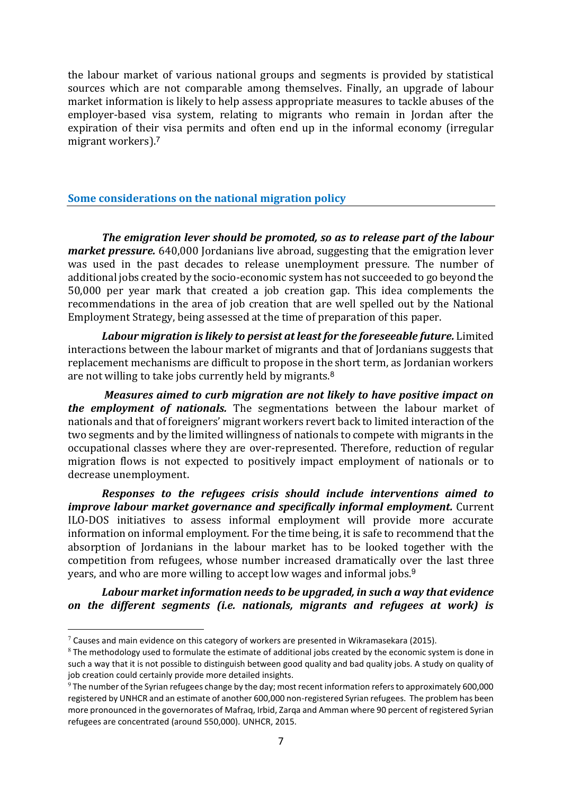the labour market of various national groups and segments is provided by statistical sources which are not comparable among themselves. Finally, an upgrade of labour market information is likely to help assess appropriate measures to tackle abuses of the employer-based visa system, relating to migrants who remain in Jordan after the expiration of their visa permits and often end up in the informal economy (irregular migrant workers).<sup>7</sup>

### **Some considerations on the national migration policy**

*The emigration lever should be promoted, so as to release part of the labour market pressure.* 640,000 Jordanians live abroad, suggesting that the emigration lever was used in the past decades to release unemployment pressure. The number of additional jobs created by the socio-economic system has not succeeded to go beyond the 50,000 per year mark that created a job creation gap. This idea complements the recommendations in the area of job creation that are well spelled out by the National Employment Strategy, being assessed at the time of preparation of this paper.

*Labour migration is likely to persist at least for the foreseeable future.* Limited interactions between the labour market of migrants and that of Jordanians suggests that replacement mechanisms are difficult to propose in the short term, as Jordanian workers are not willing to take jobs currently held by migrants.<sup>8</sup>

*Measures aimed to curb migration are not likely to have positive impact on the employment of nationals.* The segmentations between the labour market of nationals and that of foreigners' migrant workers revert back to limited interaction of the two segments and by the limited willingness of nationals to compete with migrants in the occupational classes where they are over-represented. Therefore, reduction of regular migration flows is not expected to positively impact employment of nationals or to decrease unemployment.

*Responses to the refugees crisis should include interventions aimed to improve labour market governance and specifically informal employment.* Current ILO-DOS initiatives to assess informal employment will provide more accurate information on informal employment. For the time being, it is safe to recommend that the absorption of Jordanians in the labour market has to be looked together with the competition from refugees, whose number increased dramatically over the last three years, and who are more willing to accept low wages and informal jobs.<sup>9</sup>

*Labour market information needs to be upgraded, in such a way that evidence on the different segments (i.e. nationals, migrants and refugees at work) is* 

 $7$  Causes and main evidence on this category of workers are presented in Wikramasekara (2015).

 $8$  The methodology used to formulate the estimate of additional jobs created by the economic system is done in such a way that it is not possible to distinguish between good quality and bad quality jobs. A study on quality of job creation could certainly provide more detailed insights.

<sup>&</sup>lt;sup>9</sup> The number of the Syrian refugees change by the day; most recent information refers to approximately 600,000 registered by UNHCR and an estimate of another 600,000 non-registered Syrian refugees. The problem has been more pronounced in the governorates of Mafraq, Irbid, Zarqa and Amman where 90 percent of registered Syrian refugees are concentrated (around 550,000). UNHCR, 2015.